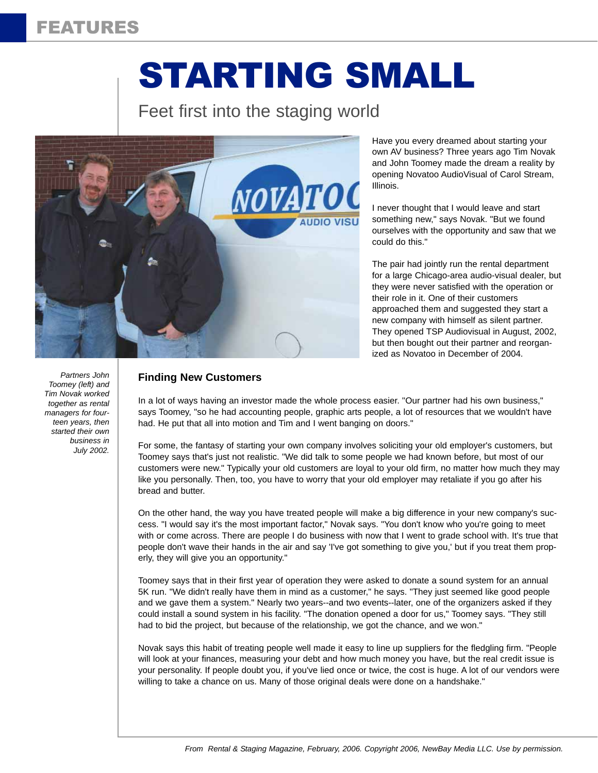# FEATURES

# STARTING SMALL

## Feet first into the staging world



Have you every dreamed about starting your own AV business? Three years ago Tim Novak and John Toomey made the dream a reality by opening Novatoo AudioVisual of Carol Stream, Illinois.

I never thought that I would leave and start something new," says Novak. "But we found ourselves with the opportunity and saw that we could do this."

The pair had jointly run the rental department for a large Chicago-area audio-visual dealer, but they were never satisfied with the operation or their role in it. One of their customers approached them and suggested they start a new company with himself as silent partner. They opened TSP Audiovisual in August, 2002, but then bought out their partner and reorganized as Novatoo in December of 2004.

*Partners John Toomey (left) and Tim Novak worked together as rental managers for fourteen years, then started their own business in July 2002.*

#### **Finding New Customers**

In a lot of ways having an investor made the whole process easier. "Our partner had his own business," says Toomey, "so he had accounting people, graphic arts people, a lot of resources that we wouldn't have had. He put that all into motion and Tim and I went banging on doors."

For some, the fantasy of starting your own company involves soliciting your old employer's customers, but Toomey says that's just not realistic. "We did talk to some people we had known before, but most of our customers were new." Typically your old customers are loyal to your old firm, no matter how much they may like you personally. Then, too, you have to worry that your old employer may retaliate if you go after his bread and butter.

On the other hand, the way you have treated people will make a big difference in your new company's success. "I would say it's the most important factor," Novak says. "You don't know who you're going to meet with or come across. There are people I do business with now that I went to grade school with. It's true that people don't wave their hands in the air and say 'I've got something to give you,' but if you treat them properly, they will give you an opportunity."

Toomey says that in their first year of operation they were asked to donate a sound system for an annual 5K run. "We didn't really have them in mind as a customer," he says. "They just seemed like good people and we gave them a system." Nearly two years--and two events--later, one of the organizers asked if they could install a sound system in his facility. "The donation opened a door for us," Toomey says. "They still had to bid the project, but because of the relationship, we got the chance, and we won."

Novak says this habit of treating people well made it easy to line up suppliers for the fledgling firm. "People will look at your finances, measuring your debt and how much money you have, but the real credit issue is your personality. If people doubt you, if you've lied once or twice, the cost is huge. A lot of our vendors were willing to take a chance on us. Many of those original deals were done on a handshake."